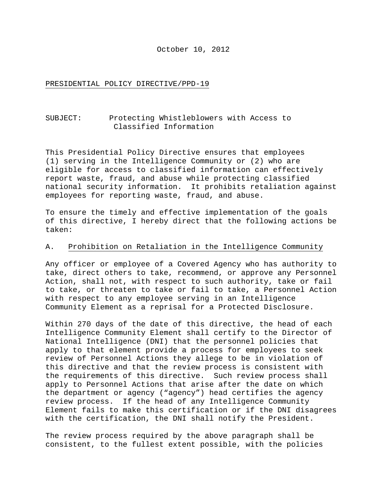October 10, 2012

PRESIDENTIAL POLICY DIRECTIVE/PPD-19

# SUBJECT: Protecting Whistleblowers with Access to Classified Information

This Presidential Policy Directive ensures that employees (1) serving in the Intelligence Community or (2) who are eligible for access to classified information can effectively report waste, fraud, and abuse while protecting classified national security information. It prohibits retaliation against employees for reporting waste, fraud, and abuse.

To ensure the timely and effective implementation of the goals of this directive, I hereby direct that the following actions be taken:

### A. Prohibition on Retaliation in the Intelligence Community

Any officer or employee of a Covered Agency who has authority to take, direct others to take, recommend, or approve any Personnel Action, shall not, with respect to such authority, take or fail to take, or threaten to take or fail to take, a Personnel Action with respect to any employee serving in an Intelligence Community Element as a reprisal for a Protected Disclosure.

Within 270 days of the date of this directive, the head of each Intelligence Community Element shall certify to the Director of National Intelligence (DNI) that the personnel policies that apply to that element provide a process for employees to seek review of Personnel Actions they allege to be in violation of this directive and that the review process is consistent with the requirements of this directive. Such review process shall apply to Personnel Actions that arise after the date on which the department or agency ("agency") head certifies the agency review process. If the head of any Intelligence Community Element fails to make this certification or if the DNI disagrees with the certification, the DNI shall notify the President.

The review process required by the above paragraph shall be consistent, to the fullest extent possible, with the policies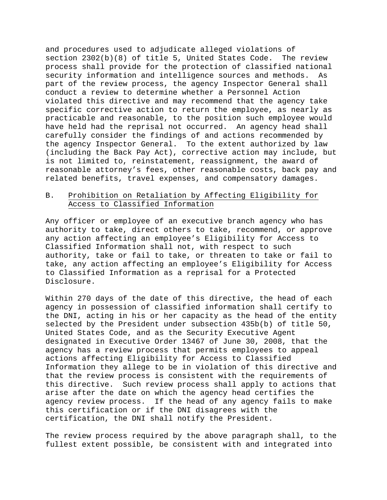and procedures used to adjudicate alleged violations of section 2302(b)(8) of title 5, United States Code. The review process shall provide for the protection of classified national security information and intelligence sources and methods. As part of the review process, the agency Inspector General shall conduct a review to determine whether a Personnel Action violated this directive and may recommend that the agency take specific corrective action to return the employee, as nearly as practicable and reasonable, to the position such employee would have held had the reprisal not occurred. An agency head shall carefully consider the findings of and actions recommended by the agency Inspector General. To the extent authorized by law (including the Back Pay Act), corrective action may include, but is not limited to, reinstatement, reassignment, the award of reasonable attorney's fees, other reasonable costs, back pay and related benefits, travel expenses, and compensatory damages.

# B. Prohibition on Retaliation by Affecting Eligibility for Access to Classified Information

Any officer or employee of an executive branch agency who has authority to take, direct others to take, recommend, or approve any action affecting an employee's Eligibility for Access to Classified Information shall not, with respect to such authority, take or fail to take, or threaten to take or fail to take, any action affecting an employee's Eligibility for Access to Classified Information as a reprisal for a Protected Disclosure.

Within 270 days of the date of this directive, the head of each agency in possession of classified information shall certify to the DNI, acting in his or her capacity as the head of the entity selected by the President under subsection 435b(b) of title 50, United States Code, and as the Security Executive Agent designated in Executive Order 13467 of June 30, 2008, that the agency has a review process that permits employees to appeal actions affecting Eligibility for Access to Classified Information they allege to be in violation of this directive and that the review process is consistent with the requirements of this directive. Such review process shall apply to actions that arise after the date on which the agency head certifies the agency review process. If the head of any agency fails to make this certification or if the DNI disagrees with the certification, the DNI shall notify the President.

The review process required by the above paragraph shall, to the fullest extent possible, be consistent with and integrated into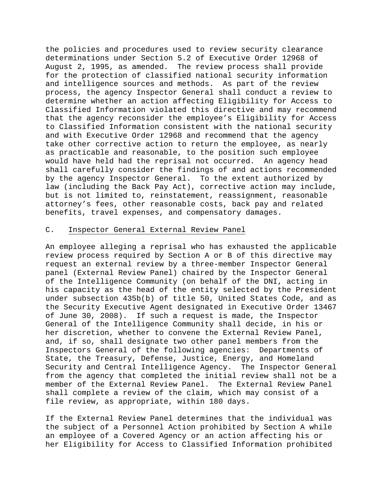the policies and procedures used to review security clearance determinations under Section 5.2 of Executive Order 12968 of August 2, 1995, as amended. The review process shall provide for the protection of classified national security information and intelligence sources and methods. As part of the review process, the agency Inspector General shall conduct a review to determine whether an action affecting Eligibility for Access to Classified Information violated this directive and may recommend that the agency reconsider the employee's Eligibility for Access to Classified Information consistent with the national security and with Executive Order 12968 and recommend that the agency take other corrective action to return the employee, as nearly as practicable and reasonable, to the position such employee would have held had the reprisal not occurred. An agency head shall carefully consider the findings of and actions recommended by the agency Inspector General. To the extent authorized by law (including the Back Pay Act), corrective action may include, but is not limited to, reinstatement, reassignment, reasonable attorney's fees, other reasonable costs, back pay and related benefits, travel expenses, and compensatory damages.

### C. Inspector General External Review Panel

An employee alleging a reprisal who has exhausted the applicable review process required by Section A or B of this directive may request an external review by a three-member Inspector General panel (External Review Panel) chaired by the Inspector General of the Intelligence Community (on behalf of the DNI, acting in his capacity as the head of the entity selected by the President under subsection 435b(b) of title 50, United States Code, and as the Security Executive Agent designated in Executive Order 13467 of June 30, 2008). If such a request is made, the Inspector General of the Intelligence Community shall decide, in his or her discretion, whether to convene the External Review Panel, and, if so, shall designate two other panel members from the Inspectors General of the following agencies: Departments of State, the Treasury, Defense, Justice, Energy, and Homeland<br>Security and Central Intelligence Agency. The Inspector General Security and Central Intelligence Agency. from the agency that completed the initial review shall not be a member of the External Review Panel. The External Review Panel shall complete a review of the claim, which may consist of a file review, as appropriate, within 180 days.

If the External Review Panel determines that the individual was the subject of a Personnel Action prohibited by Section A while an employee of a Covered Agency or an action affecting his or her Eligibility for Access to Classified Information prohibited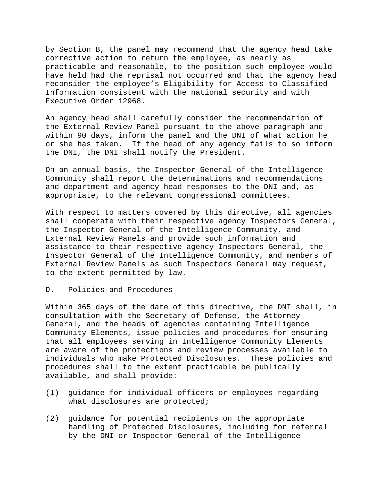by Section B, the panel may recommend that the agency head take corrective action to return the employee, as nearly as practicable and reasonable, to the position such employee would have held had the reprisal not occurred and that the agency head reconsider the employee's Eligibility for Access to Classified Information consistent with the national security and with Executive Order 12968.

An agency head shall carefully consider the recommendation of the External Review Panel pursuant to the above paragraph and within 90 days, inform the panel and the DNI of what action he or she has taken. If the head of any agency fails to so inform the DNI, the DNI shall notify the President.

On an annual basis, the Inspector General of the Intelligence Community shall report the determinations and recommendations and department and agency head responses to the DNI and, as appropriate, to the relevant congressional committees.

With respect to matters covered by this directive, all agencies shall cooperate with their respective agency Inspectors General, the Inspector General of the Intelligence Community, and External Review Panels and provide such information and assistance to their respective agency Inspectors General, the Inspector General of the Intelligence Community, and members of External Review Panels as such Inspectors General may request, to the extent permitted by law.

### D. Policies and Procedures

Within 365 days of the date of this directive, the DNI shall, in consultation with the Secretary of Defense, the Attorney General, and the heads of agencies containing Intelligence Community Elements, issue policies and procedures for ensuring that all employees serving in Intelligence Community Elements are aware of the protections and review processes available to individuals who make Protected Disclosures. These policies and procedures shall to the extent practicable be publically available, and shall provide:

- (1) guidance for individual officers or employees regarding what disclosures are protected;
- (2) guidance for potential recipients on the appropriate handling of Protected Disclosures, including for referral by the DNI or Inspector General of the Intelligence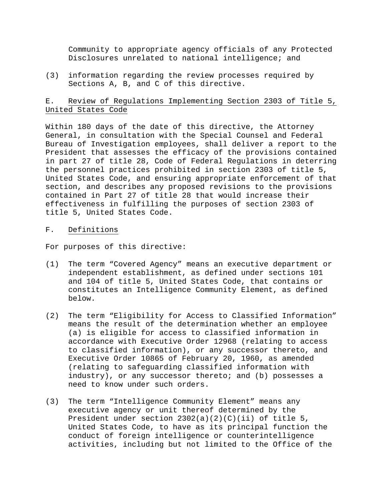Community to appropriate agency officials of any Protected Disclosures unrelated to national intelligence; and

(3) information regarding the review processes required by Sections A, B, and C of this directive.

# E. Review of Regulations Implementing Section 2303 of Title 5, United States Code

Within 180 days of the date of this directive, the Attorney General, in consultation with the Special Counsel and Federal Bureau of Investigation employees, shall deliver a report to the President that assesses the efficacy of the provisions contained in part 27 of title 28, Code of Federal Regulations in deterring the personnel practices prohibited in section 2303 of title 5, United States Code, and ensuring appropriate enforcement of that section, and describes any proposed revisions to the provisions contained in Part 27 of title 28 that would increase their effectiveness in fulfilling the purposes of section 2303 of title 5, United States Code.

### F. Definitions

For purposes of this directive:

- (1) The term "Covered Agency" means an executive department or independent establishment, as defined under sections 101 and 104 of title 5, United States Code, that contains or constitutes an Intelligence Community Element, as defined below.
- (2) The term "Eligibility for Access to Classified Information" means the result of the determination whether an employee (a) is eligible for access to classified information in accordance with Executive Order 12968 (relating to access to classified information), or any successor thereto, and Executive Order 10865 of February 20, 1960, as amended (relating to safeguarding classified information with industry), or any successor thereto; and (b) possesses a need to know under such orders.
- (3) The term "Intelligence Community Element" means any executive agency or unit thereof determined by the President under section  $2302(a)(2)(C)(ii)$  of title 5, United States Code, to have as its principal function the conduct of foreign intelligence or counterintelligence activities, including but not limited to the Office of the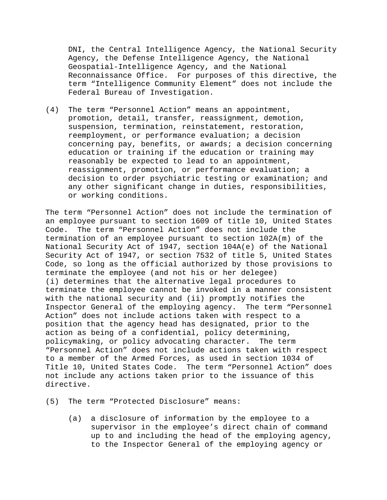DNI, the Central Intelligence Agency, the National Security Agency, the Defense Intelligence Agency, the National Geospatial-Intelligence Agency, and the National Reconnaissance Office. For purposes of this directive, the term "Intelligence Community Element" does not include the Federal Bureau of Investigation.

(4) The term "Personnel Action" means an appointment, promotion, detail, transfer, reassignment, demotion, suspension, termination, reinstatement, restoration, reemployment, or performance evaluation; a decision concerning pay, benefits, or awards; a decision concerning education or training if the education or training may reasonably be expected to lead to an appointment, reassignment, promotion, or performance evaluation; a decision to order psychiatric testing or examination; and any other significant change in duties, responsibilities, or working conditions.

The term "Personnel Action" does not include the termination of an employee pursuant to section 1609 of title 10, United States<br>Code. The term "Personnel Action" does not include the The term "Personnel Action" does not include the termination of an employee pursuant to section 102A(m) of the National Security Act of 1947, section 104A(e) of the National Security Act of 1947, or section 7532 of title 5, United States Code, so long as the official authorized by those provisions to terminate the employee (and not his or her delegee) (i) determines that the alternative legal procedures to terminate the employee cannot be invoked in a manner consistent with the national security and (ii) promptly notifies the Inspector General of the employing agency. The term "Personnel Action" does not include actions taken with respect to a position that the agency head has designated, prior to the action as being of a confidential, policy determining, policymaking, or policy advocating character. The term "Personnel Action" does not include actions taken with respect to a member of the Armed Forces, as used in section 1034 of Title 10, United States Code. The term "Personnel Action" does not include any actions taken prior to the issuance of this directive.

(5) The term "Protected Disclosure" means:

(a) a disclosure of information by the employee to a supervisor in the employee's direct chain of command up to and including the head of the employing agency, to the Inspector General of the employing agency or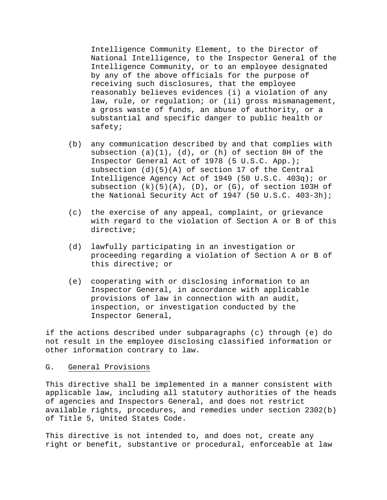Intelligence Community Element, to the Director of National Intelligence, to the Inspector General of the Intelligence Community, or to an employee designated by any of the above officials for the purpose of receiving such disclosures, that the employee reasonably believes evidences (i) a violation of any law, rule, or regulation; or (ii) gross mismanagement, a gross waste of funds, an abuse of authority, or a substantial and specific danger to public health or safety;

- (b) any communication described by and that complies with subsection  $(a)(1)$ ,  $(d)$ , or  $(h)$  of section 8H of the Inspector General Act of 1978 (5 U.S.C. App.); subsection (d)(5)(A) of section 17 of the Central Intelligence Agency Act of 1949 (50 U.S.C. 403q); or subsection  $(k)(5)(A)$ ,  $(D)$ , or  $(G)$ , of section 103H of the National Security Act of 1947 (50 U.S.C. 403-3h);
- (c) the exercise of any appeal, complaint, or grievance with regard to the violation of Section A or B of this directive;
- (d) lawfully participating in an investigation or proceeding regarding a violation of Section A or B of this directive; or
- (e) cooperating with or disclosing information to an Inspector General, in accordance with applicable provisions of law in connection with an audit, inspection, or investigation conducted by the Inspector General,

if the actions described under subparagraphs (c) through (e) do not result in the employee disclosing classified information or other information contrary to law.

#### G. General Provisions

This directive shall be implemented in a manner consistent with applicable law, including all statutory authorities of the heads of agencies and Inspectors General, and does not restrict available rights, procedures, and remedies under section 2302(b) of Title 5, United States Code.

This directive is not intended to, and does not, create any right or benefit, substantive or procedural, enforceable at law